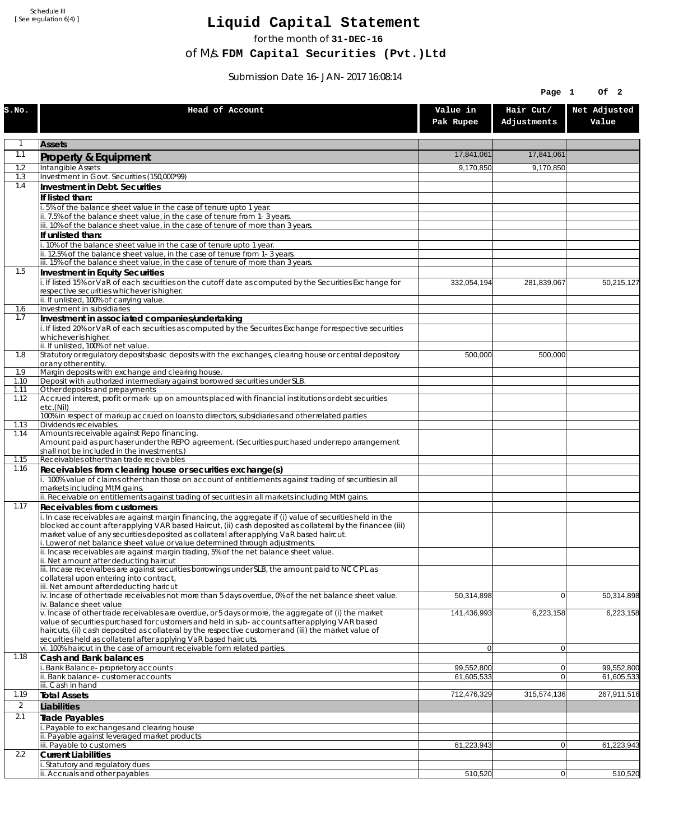Schedule III [ See regulation 6(4) ]

## **Liquid Capital Statement**

for the month of **31-DEC-16**

of M/s. **FDM Capital Securities (Pvt.)Ltd**

Submission Date 16-JAN-2017 16:08:14

|                |                                                                                                                                                                                                                                                                                                                    |                       | Of <sub>2</sub><br>Page 1 |                       |
|----------------|--------------------------------------------------------------------------------------------------------------------------------------------------------------------------------------------------------------------------------------------------------------------------------------------------------------------|-----------------------|---------------------------|-----------------------|
| S.NO.          | Head of Account                                                                                                                                                                                                                                                                                                    | Value in<br>Pak Rupee | Hair Cut/<br>Adjustments  | Net Adjusted<br>Value |
| $\mathbf{1}$   | <b>Assets</b>                                                                                                                                                                                                                                                                                                      |                       |                           |                       |
| 1.1            | Property & Equipment                                                                                                                                                                                                                                                                                               | 17,841,061            | 17,841,061                |                       |
| 1.2            | Intangible Assets                                                                                                                                                                                                                                                                                                  | 9,170,850             | 9,170,850                 |                       |
| 1.3<br>1.4     | Investment in Govt. Securities (150,000*99)                                                                                                                                                                                                                                                                        |                       |                           |                       |
|                | Investment in Debt. Securities<br>If listed than:                                                                                                                                                                                                                                                                  |                       |                           |                       |
|                | 5% of the balance sheet value in the case of tenure upto 1 year.                                                                                                                                                                                                                                                   |                       |                           |                       |
|                | ii. 7.5% of the balance sheet value, in the case of tenure from 1-3 years.                                                                                                                                                                                                                                         |                       |                           |                       |
|                | iii. 10% of the balance sheet value, in the case of tenure of more than 3 years.                                                                                                                                                                                                                                   |                       |                           |                       |
|                | If unlisted than:<br>10% of the balance sheet value in the case of tenure upto 1 year.                                                                                                                                                                                                                             |                       |                           |                       |
|                | ii. 12.5% of the balance sheet value, in the case of tenure from 1-3 years.                                                                                                                                                                                                                                        |                       |                           |                       |
|                | iii. 15% of the balance sheet value, in the case of tenure of more than 3 years.                                                                                                                                                                                                                                   |                       |                           |                       |
| 1.5            | <b>Investment in Equity Securities</b><br>i. If listed 15% or VaR of each securities on the cutoff date as computed by the Securities Exchange for                                                                                                                                                                 | 332,054,194           |                           | 50,215,127            |
|                | respective securities whichever is higher.                                                                                                                                                                                                                                                                         |                       | 281,839,067               |                       |
|                | ii. If unlisted, 100% of carrying value.                                                                                                                                                                                                                                                                           |                       |                           |                       |
| 1.6<br>1.7     | Investment in subsidiaries<br>Investment in associated companies/undertaking                                                                                                                                                                                                                                       |                       |                           |                       |
|                | i. If listed 20% or VaR of each securities as computed by the Securites Exchange for respective securities                                                                                                                                                                                                         |                       |                           |                       |
|                | whichever is higher.                                                                                                                                                                                                                                                                                               |                       |                           |                       |
| 1.8            | ii. If unlisted, 100% of net value.<br>Statutory or regulatory deposits/basic deposits with the exchanges, clearing house or central depository                                                                                                                                                                    | 500,000               | 500.000                   |                       |
|                | or any other entity.                                                                                                                                                                                                                                                                                               |                       |                           |                       |
| 1.9            | Margin deposits with exchange and clearing house.                                                                                                                                                                                                                                                                  |                       |                           |                       |
| 1.10<br>1.11   | Deposit with authorized intermediary against borrowed securities under SLB.<br>Other deposits and prepayments                                                                                                                                                                                                      |                       |                           |                       |
| 1.12           | Accrued interest, profit or mark-up on amounts placed with financial institutions or debt securities<br>etc.(Nil)                                                                                                                                                                                                  |                       |                           |                       |
|                | 100% in respect of markup accrued on loans to directors, subsidiaries and other related parties                                                                                                                                                                                                                    |                       |                           |                       |
| 1.13<br>1.14   | Dividends receivables.<br>Amounts receivable against Repo financing.                                                                                                                                                                                                                                               |                       |                           |                       |
|                | Amount paid as purchaser under the REPO agreement. (Securities purchased under repo arrangement                                                                                                                                                                                                                    |                       |                           |                       |
| 1.15           | shall not be included in the investments.)<br>Receivables other than trade receivables                                                                                                                                                                                                                             |                       |                           |                       |
| 1.16           | Receivables from clearing house or securities exchange(s)                                                                                                                                                                                                                                                          |                       |                           |                       |
|                | i. 100% value of claims other than those on account of entitlements against trading of securities in all                                                                                                                                                                                                           |                       |                           |                       |
|                | markets including MtM gains.<br>ii. Receivable on entitlements against trading of securities in all markets including MtM gains.                                                                                                                                                                                   |                       |                           |                       |
| 1.17           | Receivables from customers                                                                                                                                                                                                                                                                                         |                       |                           |                       |
|                | i. In case receivables are against margin financing, the aggregate if (i) value of securities held in the<br>blocked account after applying VAR based Haircut, (ii) cash deposited as collateral by the financee (iii)<br>market value of any securities deposited as collateral after applying VaR based haircut. |                       |                           |                       |
|                | i. Lower of net balance sheet value or value determined through adjustments.<br>ii. Incase receivables are against margin trading, 5% of the net balance sheet value.                                                                                                                                              |                       |                           |                       |
|                | ii. Net amount after deducting haircut                                                                                                                                                                                                                                                                             |                       |                           |                       |
|                | iii. Incase receivalbes are against securities borrowings under SLB, the amount paid to NCCPL as                                                                                                                                                                                                                   |                       |                           |                       |
|                | collateral upon entering into contract,<br>iii. Net amount after deducting haricut                                                                                                                                                                                                                                 |                       |                           |                       |
|                | iv. Incase of other trade receivables not more than 5 days overdue, 0% of the net balance sheet value.                                                                                                                                                                                                             | 50,314,898            | $\overline{0}$            | 50,314,898            |
|                | iv. Balance sheet value<br>v. Incase of other trade receivables are overdue, or 5 days or more, the aggregate of (i) the market                                                                                                                                                                                    | 141,436,993           | 6,223,158                 | 6,223,158             |
|                | value of securities purchased for customers and held in sub-accounts after applying VAR based<br>haircuts, (ii) cash deposited as collateral by the respective customer and (iii) the market value of                                                                                                              |                       |                           |                       |
|                | securities held as collateral after applying VaR based haircuts.<br>vi. 100% haircut in the case of amount receivable form related parties.                                                                                                                                                                        | $\overline{0}$        | $\overline{0}$            |                       |
| 1.18           | Cash and Bank balances                                                                                                                                                                                                                                                                                             |                       |                           |                       |
|                | <b>Bank Balance-proprietory accounts</b>                                                                                                                                                                                                                                                                           | 99,552,800            | $\Omega$                  | 99,552,800            |
|                | ii. Bank balance-customer accounts<br>iii. Cash in hand                                                                                                                                                                                                                                                            | 61,605,533            | $\Omega$                  | 61,605,533            |
| 1.19           | <b>Total Assets</b>                                                                                                                                                                                                                                                                                                | 712,476,329           | 315,574,136               | 267,911,516           |
| $\overline{2}$ | Liabilities                                                                                                                                                                                                                                                                                                        |                       |                           |                       |
| 2.1            | Trade Payables                                                                                                                                                                                                                                                                                                     |                       |                           |                       |
|                | i. Payable to exchanges and clearing house                                                                                                                                                                                                                                                                         |                       |                           |                       |
|                | ii. Payable against leveraged market products<br>iii. Payable to customers                                                                                                                                                                                                                                         | 61,223,943            | 0                         | 61,223,943            |
| 2.2            | <b>Current Liabilities</b>                                                                                                                                                                                                                                                                                         |                       |                           |                       |
|                | i. Statutory and regulatory dues                                                                                                                                                                                                                                                                                   |                       |                           |                       |
|                | ii. Accruals and other payables                                                                                                                                                                                                                                                                                    | 510,520               | 0                         | 510,520               |